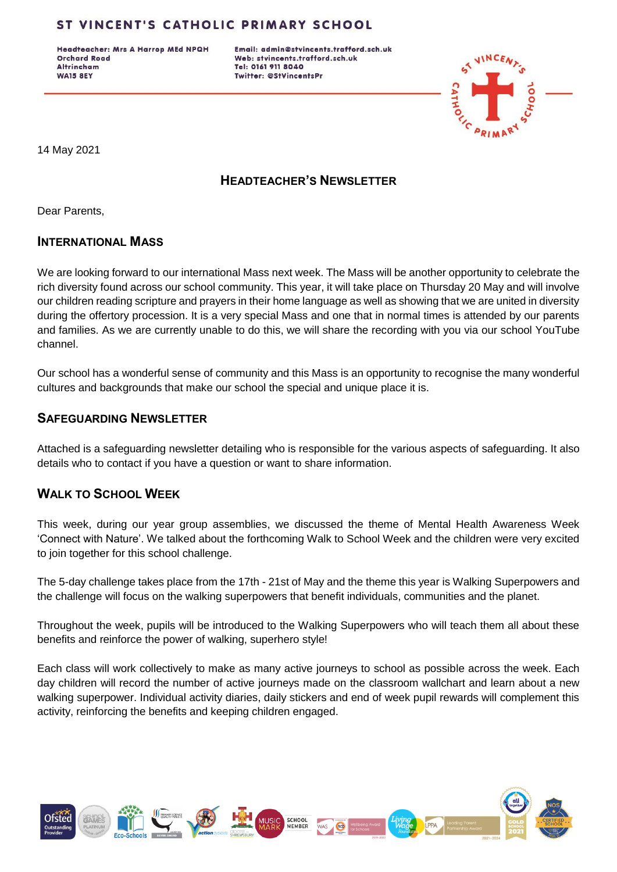Headteacher: Mrs A Harrop MEd NPQH **Orchard Road Altrincham WA15 8EY** 

Email: admin@stvincents.trafford.sch.uk Web: stvincents.trafford.sch.uk Tel: 0161 911 8040 Twitter: @StVincentsPr



14 May 2021

# **HEADTEACHER'S NEWSLETTER**

Dear Parents,

### **INTERNATIONAL MASS**

We are looking forward to our international Mass next week. The Mass will be another opportunity to celebrate the rich diversity found across our school community. This year, it will take place on Thursday 20 May and will involve our children reading scripture and prayers in their home language as well as showing that we are united in diversity during the offertory procession. It is a very special Mass and one that in normal times is attended by our parents and families. As we are currently unable to do this, we will share the recording with you via our school YouTube channel.

Our school has a wonderful sense of community and this Mass is an opportunity to recognise the many wonderful cultures and backgrounds that make our school the special and unique place it is.

## **SAFEGUARDING NEWSLETTER**

Attached is a safeguarding newsletter detailing who is responsible for the various aspects of safeguarding. It also details who to contact if you have a question or want to share information.

## **WALK TO SCHOOL WEEK**

This week, during our year group assemblies, we discussed the theme of Mental Health Awareness Week 'Connect with Nature'. We talked about the forthcoming Walk to School Week and the children were very excited to join together for this school challenge.

The 5-day challenge takes place from the 17th - 21st of May and the theme this year is Walking Superpowers and the challenge will focus on the walking superpowers that benefit individuals, communities and the planet.

Throughout the week, pupils will be introduced to the Walking Superpowers who will teach them all about these benefits and reinforce the power of walking, superhero style!

Each class will work collectively to make as many active journeys to school as possible across the week. Each day children will record the number of active journeys made on the classroom wallchart and learn about a new walking superpower. Individual activity diaries, daily stickers and end of week pupil rewards will complement this activity, reinforcing the benefits and keeping children engaged.

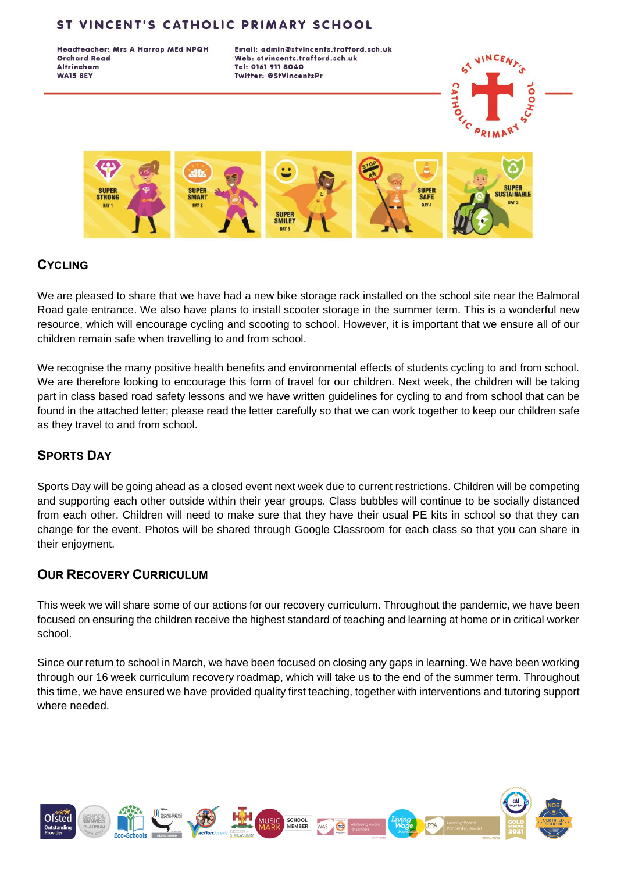Headteacher: Mrs A Harrop MEd NPQH **Orchard Road Altrincham WA15 8EY** 

Email: admin@stvincents.trafford.sch.uk Web: stvincents.trafford.sch.uk Tel: 0161 911 8040 Twitter: @StVincentsPr





# **CYCLING**

We are pleased to share that we have had a new bike storage rack installed on the school site near the Balmoral Road gate entrance. We also have plans to install scooter storage in the summer term. This is a wonderful new resource, which will encourage cycling and scooting to school. However, it is important that we ensure all of our children remain safe when travelling to and from school.

We recognise the many positive health benefits and environmental effects of students cycling to and from school. We are therefore looking to encourage this form of travel for our children. Next week, the children will be taking part in class based road safety lessons and we have written guidelines for cycling to and from school that can be found in the attached letter; please read the letter carefully so that we can work together to keep our children safe as they travel to and from school.

# **SPORTS DAY**

Sports Day will be going ahead as a closed event next week due to current restrictions. Children will be competing and supporting each other outside within their year groups. Class bubbles will continue to be socially distanced from each other. Children will need to make sure that they have their usual PE kits in school so that they can change for the event. Photos will be shared through Google Classroom for each class so that you can share in their enjoyment.

## **OUR RECOVERY CURRICULUM**

This week we will share some of our actions for our recovery curriculum. Throughout the pandemic, we have been focused on ensuring the children receive the highest standard of teaching and learning at home or in critical worker school.

Since our return to school in March, we have been focused on closing any gaps in learning. We have been working through our 16 week curriculum recovery roadmap, which will take us to the end of the summer term. Throughout this time, we have ensured we have provided quality first teaching, together with interventions and tutoring support where needed.

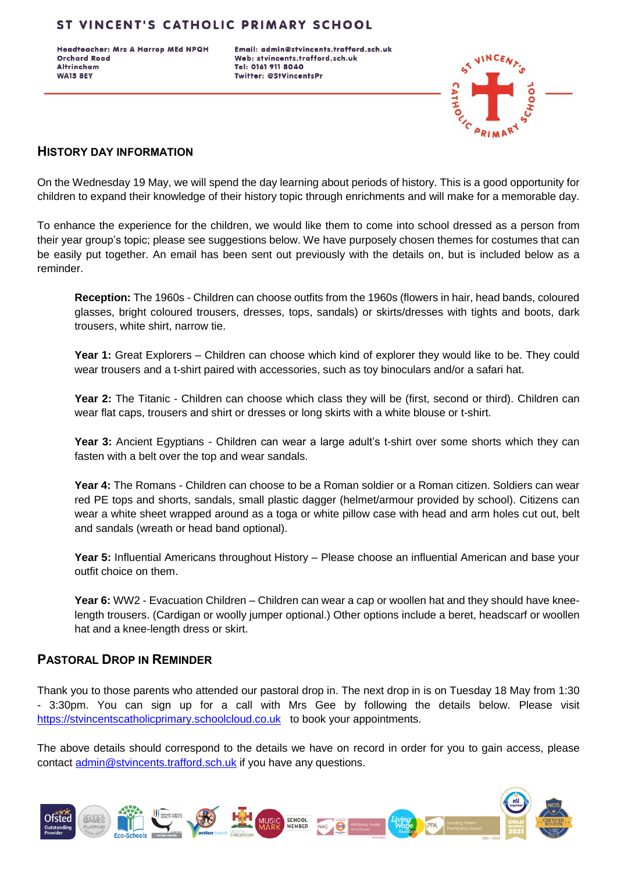Headteacher: Mrs A Harrop MEd NPQH **Orchard Road Altrincham WA15 8EY** 

Email: admin@stvincents.trafford.sch.uk Web: stvincents.trafford.sch.uk Tel: 0161 911 8040 **Twitter: @StVincentsPr** 



#### **HISTORY DAY INFORMATION**

On the Wednesday 19 May, we will spend the day learning about periods of history. This is a good opportunity for children to expand their knowledge of their history topic through enrichments and will make for a memorable day.

To enhance the experience for the children, we would like them to come into school dressed as a person from their year group's topic; please see suggestions below. We have purposely chosen themes for costumes that can be easily put together. An email has been sent out previously with the details on, but is included below as a reminder.

**Reception:** The 1960s - Children can choose outfits from the 1960s (flowers in hair, head bands, coloured glasses, bright coloured trousers, dresses, tops, sandals) or skirts/dresses with tights and boots, dark trousers, white shirt, narrow tie.

**Year 1:** Great Explorers – Children can choose which kind of explorer they would like to be. They could wear trousers and a t-shirt paired with accessories, such as toy binoculars and/or a safari hat.

**Year 2:** The Titanic - Children can choose which class they will be (first, second or third). Children can wear flat caps, trousers and shirt or dresses or long skirts with a white blouse or t-shirt.

Year 3: Ancient Egyptians - Children can wear a large adult's t-shirt over some shorts which they can fasten with a belt over the top and wear sandals.

**Year 4:** The Romans - Children can choose to be a Roman soldier or a Roman citizen. Soldiers can wear red PE tops and shorts, sandals, small plastic dagger (helmet/armour provided by school). Citizens can wear a white sheet wrapped around as a toga or white pillow case with head and arm holes cut out, belt and sandals (wreath or head band optional).

**Year 5:** Influential Americans throughout History – Please choose an influential American and base your outfit choice on them.

**Year 6:** WW2 - Evacuation Children – Children can wear a cap or woollen hat and they should have kneelength trousers. (Cardigan or woolly jumper optional.) Other options include a beret, headscarf or woollen hat and a knee-length dress or skirt.

### **PASTORAL DROP IN REMINDER**

Thank you to those parents who attended our pastoral drop in. The next drop in is on Tuesday 18 May from 1:30 - 3:30pm. You can sign up for a call with Mrs Gee by following the details below. Please visit [https://stvincentscatholicprimary.schoolcloud.co.uk](https://stvincentscatholicprimary.schoolcloud.co.uk/) to book your appointments.

The above details should correspond to the details we have on record in order for you to gain access, please contact [admin@stvincents.trafford.sch.uk](mailto:admin@stvincents.trafford.sch.uk) if you have any questions.